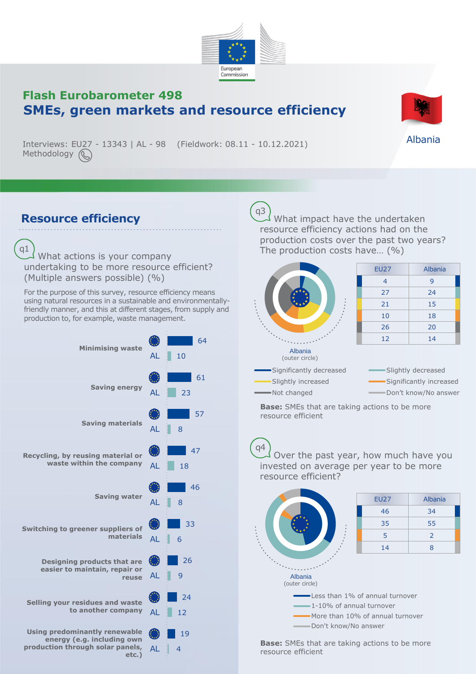

## **Flash Eurobarometer 498 SMEs, green markets and resource efficiency**

Interviews: EU27 - 13343 | AL - 98 (Fieldwork: 08.11 - 10.12.2021) Methodology (

## **Resource efficiency**

What actions is your company undertaking to be more resource efficient? (Multiple answers possible) (%) q1

For the purpose of this survey, resource efficiency means using natural resources in a sustainable and environmentallyfriendly manner, and this at different stages, from supply and production to, for example, waste management.



What impact have the undertaken resource efficiency actions had on the production costs over the past two years? The production costs have… (%) q3



**Base:** SMEs that are taking actions to be more resource efficient

Over the past year, how much have you invested on average per year to be more resource efficient? q4



**Base:** SMEs that are taking actions to be more resource efficient